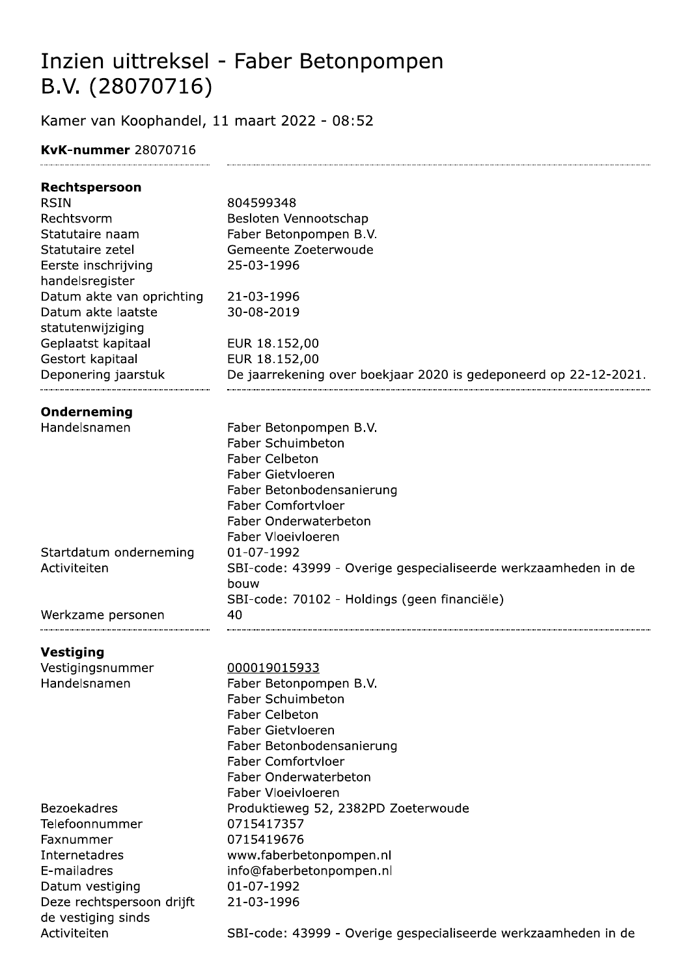## Inzien uittreksel - Faber Betonpompen B.V. (28070716)

Kamer van Koophandel, 11 maart 2022 - 08:52

## **KvK-nummer 28070716**

| Rechtspersoon             |                                                                  |
|---------------------------|------------------------------------------------------------------|
| <b>RSIN</b>               | 804599348                                                        |
| Rechtsvorm                | Besloten Vennootschap                                            |
| Statutaire naam           | Faber Betonpompen B.V.                                           |
| Statutaire zetel          | Gemeente Zoeterwoude                                             |
| Eerste inschrijving       | 25-03-1996                                                       |
| handelsregister           |                                                                  |
| Datum akte van oprichting | 21-03-1996                                                       |
| Datum akte laatste        | 30-08-2019                                                       |
| statutenwijziging         |                                                                  |
| Geplaatst kapitaal        | EUR 18.152,00                                                    |
| Gestort kapitaal          | EUR 18.152,00                                                    |
| Deponering jaarstuk       | De jaarrekening over boekjaar 2020 is gedeponeerd op 22-12-2021. |
| Onderneming               |                                                                  |
| Handelsnamen              | Faber Betonpompen B.V.                                           |
|                           | <b>Faber Schuimbeton</b>                                         |
|                           | <b>Faber Celbeton</b>                                            |
|                           | <b>Faber Gietvloeren</b>                                         |
|                           | Faber Betonbodensanierung                                        |
|                           | <b>Faber Comfortvloer</b>                                        |
|                           | Faber Onderwaterbeton                                            |
|                           | Faber Vloeivloeren                                               |
| Startdatum onderneming    | 01-07-1992                                                       |
| Activiteiten              | SBI-code: 43999 - Overige gespecialiseerde werkzaamheden in de   |
|                           | bouw                                                             |
|                           | SBI-code: 70102 - Holdings (geen financiële)                     |
| Werkzame personen         | 40                                                               |
| Vestiging                 |                                                                  |
| Vestigingsnummer          | 000019015933                                                     |
| Handelsnamen              | Faber Betonpompen B.V.                                           |
|                           | <b>Faber Schuimbeton</b>                                         |
|                           | <b>Faber Celbeton</b>                                            |
|                           | <b>Faber Gietvloeren</b>                                         |
|                           | Faber Betonbodensanierung                                        |
|                           | <b>Faber Comfortvloer</b>                                        |
|                           | Faber Onderwaterbeton                                            |
|                           | Faber Vloeivloeren                                               |
| <b>Bezoekadres</b>        | Produktieweg 52, 2382PD Zoeterwoude                              |
| Telefoonnummer            | 0715417357                                                       |
| Faxnummer                 | 0715419676                                                       |
| Internetadres             | www.faberbetonpompen.nl                                          |
| E-mailadres               | info@faberbetonpompen.nl                                         |
| Datum vestiging           | 01-07-1992                                                       |
| Deze rechtspersoon drijft | 21-03-1996                                                       |
| de vestiging sinds        |                                                                  |
| Activiteiten              | SBI-code: 43999 - Overige gespecialiseerde werkzaamheden in de   |
|                           |                                                                  |